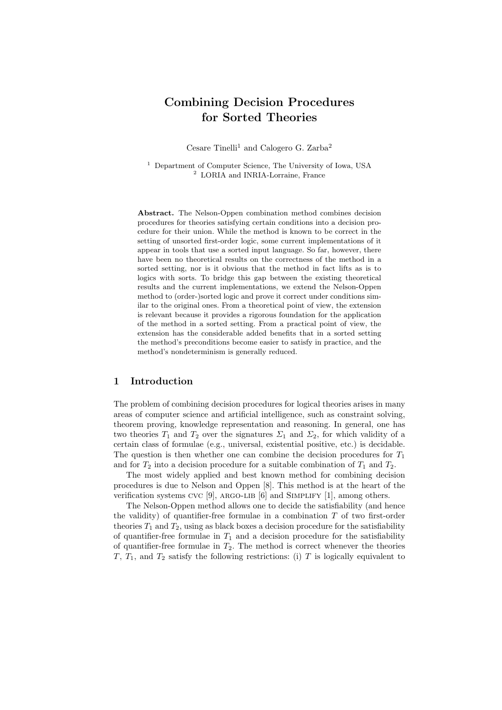# Combining Decision Procedures for Sorted Theories

Cesare Tinelli<sup>1</sup> and Calogero G. Zarba<sup>2</sup>

<sup>1</sup> Department of Computer Science, The University of Iowa, USA <sup>2</sup> LORIA and INRIA-Lorraine, France

Abstract. The Nelson-Oppen combination method combines decision procedures for theories satisfying certain conditions into a decision procedure for their union. While the method is known to be correct in the setting of unsorted first-order logic, some current implementations of it appear in tools that use a sorted input language. So far, however, there have been no theoretical results on the correctness of the method in a sorted setting, nor is it obvious that the method in fact lifts as is to logics with sorts. To bridge this gap between the existing theoretical results and the current implementations, we extend the Nelson-Oppen method to (order-)sorted logic and prove it correct under conditions similar to the original ones. From a theoretical point of view, the extension is relevant because it provides a rigorous foundation for the application of the method in a sorted setting. From a practical point of view, the extension has the considerable added benefits that in a sorted setting the method's preconditions become easier to satisfy in practice, and the method's nondeterminism is generally reduced.

# 1 Introduction

The problem of combining decision procedures for logical theories arises in many areas of computer science and artificial intelligence, such as constraint solving, theorem proving, knowledge representation and reasoning. In general, one has two theories  $T_1$  and  $T_2$  over the signatures  $\Sigma_1$  and  $\Sigma_2$ , for which validity of a certain class of formulae (e.g., universal, existential positive, etc.) is decidable. The question is then whether one can combine the decision procedures for  $T_1$ and for  $T_2$  into a decision procedure for a suitable combination of  $T_1$  and  $T_2$ .

The most widely applied and best known method for combining decision procedures is due to Nelson and Oppen [8]. This method is at the heart of the verification systems CVC  $[9]$ , ARGO-LIB  $[6]$  and SIMPLIFY  $[1]$ , among others.

The Nelson-Oppen method allows one to decide the satisfiability (and hence the validity) of quantifier-free formulae in a combination  $T$  of two first-order theories  $T_1$  and  $T_2$ , using as black boxes a decision procedure for the satisfiability of quantifier-free formulae in  $T_1$  and a decision procedure for the satisfiability of quantifier-free formulae in  $T_2$ . The method is correct whenever the theories  $T, T_1$ , and  $T_2$  satisfy the following restrictions: (i) T is logically equivalent to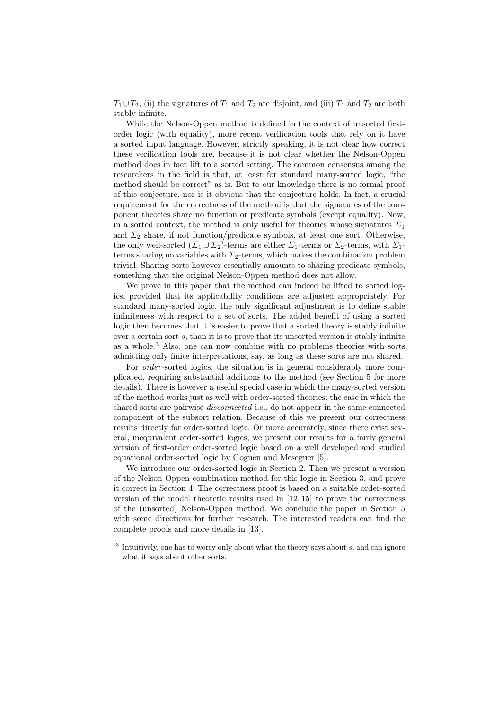$T_1 \cup T_2$ , (ii) the signatures of  $T_1$  and  $T_2$  are disjoint, and (iii)  $T_1$  and  $T_2$  are both stably infinite.

While the Nelson-Oppen method is defined in the context of unsorted firstorder logic (with equality), more recent verification tools that rely on it have a sorted input language. However, strictly speaking, it is not clear how correct these verification tools are, because it is not clear whether the Nelson-Oppen method does in fact lift to a sorted setting. The common consensus among the researchers in the field is that, at least for standard many-sorted logic, "the method should be correct" as is. But to our knowledge there is no formal proof of this conjecture, nor is it obvious that the conjecture holds. In fact, a crucial requirement for the correctness of the method is that the signatures of the component theories share no function or predicate symbols (except equality). Now, in a sorted context, the method is only useful for theories whose signatures  $\Sigma_1$ and  $\Sigma_2$  share, if not function/predicate symbols, at least one sort. Otherwise, the only well-sorted  $(\Sigma_1 \cup \Sigma_2)$ -terms are either  $\Sigma_1$ -terms or  $\Sigma_2$ -terms, with  $\Sigma_1$ terms sharing no variables with  $\Sigma_2$ -terms, which makes the combination problem trivial. Sharing sorts however essentially amounts to sharing predicate symbols, something that the original Nelson-Oppen method does not allow.

We prove in this paper that the method can indeed be lifted to sorted logics, provided that its applicability conditions are adjusted appropriately. For standard many-sorted logic, the only significant adjustment is to define stable infiniteness with respect to a set of sorts. The added benefit of using a sorted logic then becomes that it is easier to prove that a sorted theory is stably infinite over a certain sort  $s$ , than it is to prove that its unsorted version is stably infinite as a whole.<sup>3</sup> Also, one can now combine with no problems theories with sorts admitting only finite interpretations, say, as long as these sorts are not shared.

For order -sorted logics, the situation is in general considerably more complicated, requiring substantial additions to the method (see Section 5 for more details). There is however a useful special case in which the many-sorted version of the method works just as well with order-sorted theories: the case in which the shared sorts are pairwise *disconnected* i.e., do not appear in the same connected component of the subsort relation. Because of this we present our correctness results directly for order-sorted logic. Or more accurately, since there exist several, inequivalent order-sorted logics, we present our results for a fairly general version of first-order order-sorted logic based on a well developed and studied equational order-sorted logic by Goguen and Meseguer [5].

We introduce our order-sorted logic in Section 2. Then we present a version of the Nelson-Oppen combination method for this logic in Section 3, and prove it correct in Section 4. The correctness proof is based on a suitable order-sorted version of the model theoretic results used in [12, 15] to prove the correctness of the (unsorted) Nelson-Oppen method. We conclude the paper in Section 5 with some directions for further research. The interested readers can find the complete proofs and more details in [13].

 $3$  Intuitively, one has to worry only about what the theory says about  $s$ , and can ignore what it says about other sorts.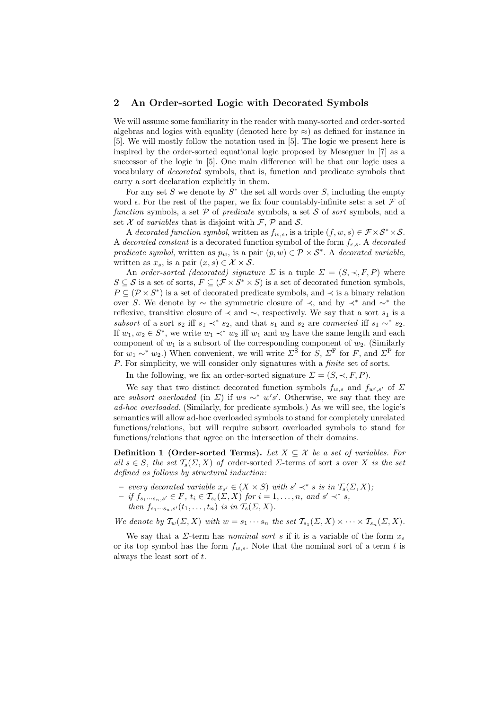#### 2 An Order-sorted Logic with Decorated Symbols

We will assume some familiarity in the reader with many-sorted and order-sorted algebras and logics with equality (denoted here by  $\approx$ ) as defined for instance in [5]. We will mostly follow the notation used in [5]. The logic we present here is inspired by the order-sorted equational logic proposed by Meseguer in [7] as a successor of the logic in [5]. One main difference will be that our logic uses a vocabulary of decorated symbols, that is, function and predicate symbols that carry a sort declaration explicitly in them.

For any set S we denote by  $S^*$  the set all words over S, including the empty word  $\epsilon$ . For the rest of the paper, we fix four countably-infinite sets: a set  $\mathcal F$  of function symbols, a set  $P$  of predicate symbols, a set  $S$  of sort symbols, and a set X of variables that is disjoint with  $\mathcal{F}, \mathcal{P}$  and S.

A decorated function symbol, written as  $f_{w,s}$ , is a triple  $(f, w, s) \in \mathcal{F} \times \mathcal{S}^* \times \mathcal{S}$ . A decorated constant is a decorated function symbol of the form  $f_{\epsilon,s}$ . A decorated predicate symbol, written as  $p_w$ , is a pair  $(p, w) \in \mathcal{P} \times \mathcal{S}^*$ . A decorated variable, written as  $x_s$ , is a pair  $(x, s) \in \mathcal{X} \times \mathcal{S}$ .

An order-sorted (decorated) signature  $\Sigma$  is a tuple  $\Sigma = (S, \prec, F, P)$  where  $S \subseteq \mathcal{S}$  is a set of sorts,  $F \subseteq (\mathcal{F} \times S^* \times S)$  is a set of decorated function symbols,  $P \subseteq (\mathcal{P} \times S^*)$  is a set of decorated predicate symbols, and  $\prec$  is a binary relation over S. We denote by  $\sim$  the symmetric closure of  $\prec$ , and by  $\prec^*$  and  $\sim^*$  the reflexive, transitive closure of  $\prec$  and  $\sim$ , respectively. We say that a sort  $s_1$  is a subsort of a sort  $s_2$  iff  $s_1 \prec^* s_2$ , and that  $s_1$  and  $s_2$  are connected iff  $s_1 \sim^* s_2$ . If  $w_1, w_2 \in S^*$ , we write  $w_1 \prec^* w_2$  iff  $w_1$  and  $w_2$  have the same length and each component of  $w_1$  is a subsort of the corresponding component of  $w_2$ . (Similarly for  $w_1 \sim^* w_2$ .) When convenient, we will write  $\Sigma^S$  for  $S$ ,  $\Sigma^F$  for  $F$ , and  $\Sigma^P$  for P. For simplicity, we will consider only signatures with a *finite* set of sorts.

In the following, we fix an order-sorted signature  $\Sigma = (S, \prec, F, P)$ .

We say that two distinct decorated function symbols  $f_{w,s}$  and  $f_{w',s'}$  of  $\Sigma$ are subsort overloaded (in  $\Sigma$ ) if ws ∼<sup>∗</sup> w's'. Otherwise, we say that they are ad-hoc overloaded. (Similarly, for predicate symbols.) As we will see, the logic's semantics will allow ad-hoc overloaded symbols to stand for completely unrelated functions/relations, but will require subsort overloaded symbols to stand for functions/relations that agree on the intersection of their domains.

**Definition 1 (Order-sorted Terms).** Let  $X \subseteq \mathcal{X}$  be a set of variables. For all  $s \in S$ , the set  $\mathcal{T}_s(\Sigma, X)$  of order-sorted  $\Sigma$ -terms of sort s over X is the set defined as follows by structural induction:

- − every decorated variable  $x_{s'} \in (X \times S)$  with  $s' \prec^* s$  is in  $\mathcal{T}_s(\Sigma, X)$ ;
- $-$  if  $f_{s_1\cdots s_n,s'} \in F$ ,  $t_i \in \mathcal{T}_{s_i}(\Sigma, X)$  for  $i = 1, \ldots, n$ , and  $s' \prec^* s$ ,
- then  $f_{s_1\cdots s_n,s'}(t_1,\ldots,t_n)$  is in  $\mathcal{T}_s(\Sigma,X)$ .

We denote by  $\mathcal{T}_w(\Sigma, X)$  with  $w = s_1 \cdots s_n$  the set  $\mathcal{T}_{s_1}(\Sigma, X) \times \cdots \times \mathcal{T}_{s_n}(\Sigma, X)$ .

We say that a  $\Sigma$ -term has nominal sort s if it is a variable of the form  $x_s$ or its top symbol has the form  $f_{w,s}$ . Note that the nominal sort of a term t is always the least sort of t.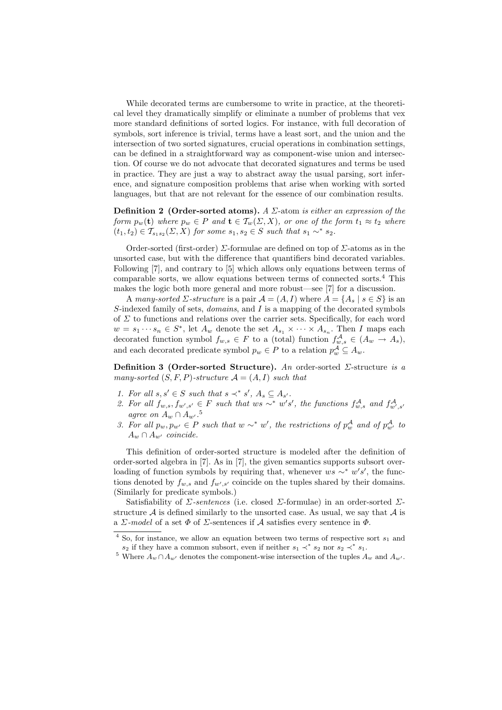While decorated terms are cumbersome to write in practice, at the theoretical level they dramatically simplify or eliminate a number of problems that vex more standard definitions of sorted logics. For instance, with full decoration of symbols, sort inference is trivial, terms have a least sort, and the union and the intersection of two sorted signatures, crucial operations in combination settings, can be defined in a straightforward way as component-wise union and intersection. Of course we do not advocate that decorated signatures and terms be used in practice. They are just a way to abstract away the usual parsing, sort inference, and signature composition problems that arise when working with sorted languages, but that are not relevant for the essence of our combination results.

**Definition 2** (Order-sorted atoms). A  $\Sigma$ -atom is either an expression of the form  $p_w(t)$  where  $p_w \in P$  and  $t \in T_w(\Sigma, X)$ , or one of the form  $t_1 \approx t_2$  where  $(t_1, t_2) \in \mathcal{T}_{s_1s_2}(\Sigma, X)$  for some  $s_1, s_2 \in S$  such that  $s_1 \sim^* s_2$ .

Order-sorted (first-order)  $\Sigma$ -formulae are defined on top of  $\Sigma$ -atoms as in the unsorted case, but with the difference that quantifiers bind decorated variables. Following [7], and contrary to [5] which allows only equations between terms of comparable sorts, we allow equations between terms of connected sorts.<sup>4</sup> This makes the logic both more general and more robust—see [7] for a discussion.

A many-sorted  $\Sigma$ -structure is a pair  $\mathcal{A} = (A, I)$  where  $A = \{A_s \mid s \in S\}$  is an S-indexed family of sets, *domains*, and I is a mapping of the decorated symbols of  $\Sigma$  to functions and relations over the carrier sets. Specifically, for each word  $w = s_1 \cdots s_n \in S^*$ , let  $A_w$  denote the set  $A_{s_1} \times \cdots \times A_{s_n}$ . Then I maps each decorated function symbol  $f_{w,s} \in F$  to a (total) function  $f_{w,s}^{\mathcal{A}} \in (A_w \to A_s)$ , and each decorated predicate symbol  $p_w \in P$  to a relation  $p_w^{\mathcal{A}} \subseteq A_w$ .

Definition 3 (Order-sorted Structure). An order-sorted  $\Sigma$ -structure is a many-sorted  $(S, F, P)$ -structure  $\mathcal{A} = (A, I)$  such that

- 1. For all  $s, s' \in S$  such that  $s \prec^* s'$ ,  $A_s \subseteq A_{s'}$ .
- 2. For all  $f_{w,s}, f_{w',s'} \in F$  such that ws ∼<sup>∗</sup> w's', the functions  $f_{w,s}^{\mathcal{A}}$  and  $f_{w',s'}^{\mathcal{A}}$ agree on  $A_w \cap A_{w'}$ .<sup>5</sup>
- 3. For all  $p_w, p_{w'} \in P$  such that  $w \sim^* w'$ , the restrictions of  $p_w^{\mathcal{A}}$  and of  $p_{w'}^{\mathcal{A}}$  to  $A_w \cap A_{w'}$  coincide.

This definition of order-sorted structure is modeled after the definition of order-sorted algebra in [7]. As in [7], the given semantics supports subsort overloading of function symbols by requiring that, whenever  $ws \sim^* w's'$ , the functions denoted by  $f_{w,s}$  and  $f_{w',s'}$  coincide on the tuples shared by their domains. (Similarly for predicate symbols.)

Satisfiability of  $\Sigma$ -sentences (i.e. closed  $\Sigma$ -formulae) in an order-sorted  $\Sigma$ structure A is defined similarly to the unsorted case. As usual, we say that  $\mathcal A$  is a  $\Sigma$ -model of a set  $\Phi$  of  $\Sigma$ -sentences if  $\mathcal A$  satisfies every sentence in  $\Phi$ .

 $4$  So, for instance, we allow an equation between two terms of respective sort  $s_1$  and  $s_2$  if they have a common subsort, even if neither  $s_1 \prec^* s_2$  nor  $s_2 \prec^* s_1$ .

<sup>&</sup>lt;sup>5</sup> Where  $A_w \cap A_{w'}$  denotes the component-wise intersection of the tuples  $A_w$  and  $A_{w'}$ .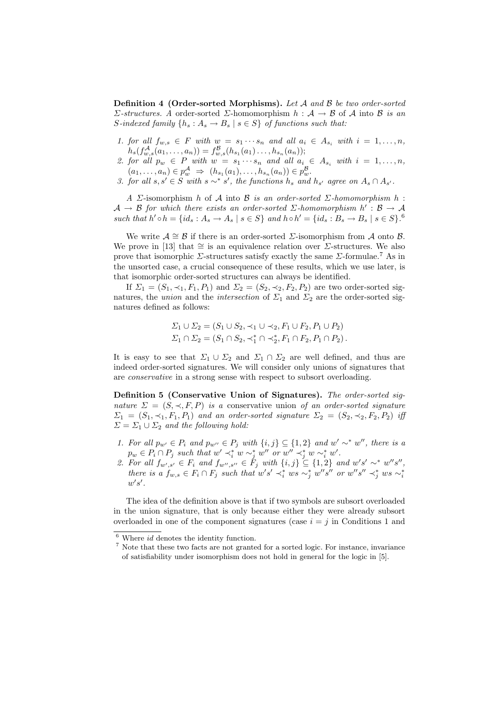**Definition 4 (Order-sorted Morphisms).** Let  $A$  and  $B$  be two order-sorted  $Σ-structures. A order-sorted Σ-homomorphism h : A → B of A into B is an$ S-indexed family  $\{h_s: A_s \to B_s \mid s \in S\}$  of functions such that:

- 1. for all  $f_{w,s} \in F$  with  $w = s_1 \cdots s_n$  and all  $a_i \in A_{s_i}$  with  $i = 1, \ldots, n$ ,  $h_s(f_{w,s}^{\mathcal{A}}(a_1,\ldots,a_n))=f_{w,s}^{\mathcal{B}}(h_{s_1}(a_1)\ldots,h_{s_n}(a_n));$
- 2. for all  $p_w \in P$  with  $w = s_1 \cdots s_n$  and all  $a_i \in A_{s_i}$  with  $i = 1, \ldots, n$ ,  $(a_1, ..., a_n) \in p_w^{\mathcal{A}} \implies (h_{s_1}(a_1), ..., h_{s_n}(a_n)) \in p_w^{\mathcal{B}}.$
- 3. for all  $s, s' \in S$  with  $s \sim^* s'$ , the functions  $h_s$  and  $h_{s'}$  agree on  $A_s \cap A_{s'}$ .

A  $\Sigma$ -isomorphism h of A into B is an order-sorted  $\Sigma$ -homomorphism h:  $\mathcal{A} \to \mathcal{B}$  for which there exists an order-sorted  $\Sigma$ -homomorphism  $h' : \mathcal{B} \to \mathcal{A}$ such that  $h' \circ h = \{id_s : A_s \to A_s \mid s \in S \}$  and  $h \circ h' = \{id_s : B_s \to B_s \mid s \in S \}$ .

We write  $A \cong \mathcal{B}$  if there is an order-sorted  $\Sigma$ -isomorphism from A onto  $\mathcal{B}$ . We prove in [13] that  $\cong$  is an equivalence relation over *Σ*-structures. We also prove that isomorphic  $\Sigma$ -structures satisfy exactly the same  $\Sigma$ -formulae.<sup>7</sup> As in the unsorted case, a crucial consequence of these results, which we use later, is that isomorphic order-sorted structures can always be identified.

If  $\Sigma_1 = (S_1, \prec_1, F_1, P_1)$  and  $\Sigma_2 = (S_2, \prec_2, F_2, P_2)$  are two order-sorted signatures, the *union* and the *intersection* of  $\Sigma_1$  and  $\Sigma_2$  are the order-sorted signatures defined as follows:

$$
\Sigma_1 \cup \Sigma_2 = (S_1 \cup S_2, \prec_1 \cup \prec_2, F_1 \cup F_2, P_1 \cup P_2) \n\Sigma_1 \cap \Sigma_2 = (S_1 \cap S_2, \prec_1^* \cap \prec_2^*, F_1 \cap F_2, P_1 \cap P_2).
$$

It is easy to see that  $\Sigma_1 \cup \Sigma_2$  and  $\Sigma_1 \cap \Sigma_2$  are well defined, and thus are indeed order-sorted signatures. We will consider only unions of signatures that are conservative in a strong sense with respect to subsort overloading.

Definition 5 (Conservative Union of Signatures). The order-sorted signature  $\Sigma = (S, \prec, F, P)$  is a conservative union of an order-sorted signature  $\Sigma_1 = (S_1, \prec_1, F_1, P_1)$  and an order-sorted signature  $\Sigma_2 = (S_2, \prec_2, F_2, P_2)$  iff  $\Sigma = \Sigma_1 \cup \Sigma_2$  and the following hold:

- 1. For all  $p_{w'} \in P_i$  and  $p_{w''} \in P_j$  with  $\{i, j\} \subseteq \{1, 2\}$  and  $w' \sim^* w''$ , there is a  $p_w \in P_i \cap P_j$  such that  $w' \prec_i^* w \sim_j^* w''$  or  $w'' \prec_j^* w \sim_i^* w'$ .
- 2. For all  $f_{w',s'} \in F_i$  and  $f_{w'',s''} \in F_j$  with  $\{i,j\} \subseteq \{1,2\}$  and  $w's' \sim^* w''s''$ , there is a  $f_{w,s} \in F_i \cap F_j$  such that  $w's' \prec_i^* ws \sim_j^* w''s''$  or  $w''s'' \prec_j^* ws \sim_i^*$  $w's'.$

The idea of the definition above is that if two symbols are subsort overloaded in the union signature, that is only because either they were already subsort overloaded in one of the component signatures (case  $i = j$  in Conditions 1 and

 $6$  Where *id* denotes the identity function.

<sup>7</sup> Note that these two facts are not granted for a sorted logic. For instance, invariance of satisfiability under isomorphism does not hold in general for the logic in [5].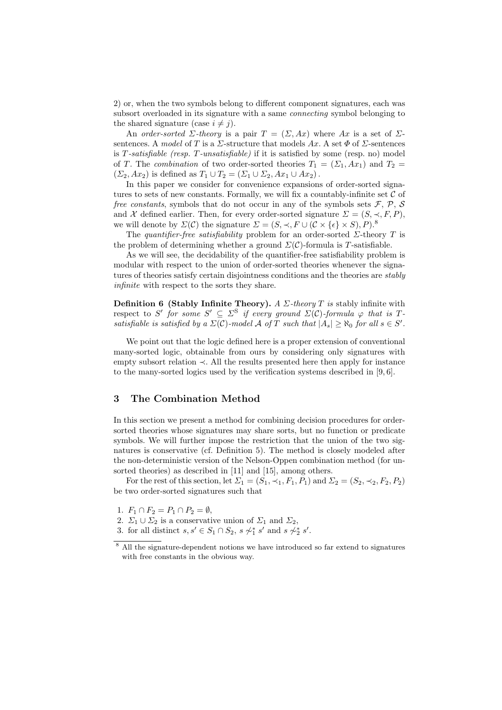2) or, when the two symbols belong to different component signatures, each was subsort overloaded in its signature with a same *connecting* symbol belonging to the shared signature (case  $i \neq j$ ).

An order-sorted  $\Sigma$ -theory is a pair  $T = (\Sigma, Ax)$  where Ax is a set of  $\Sigma$ sentences. A model of T is a  $\Sigma$ -structure that models Ax. A set  $\Phi$  of  $\Sigma$ -sentences is T-satisfiable (resp. T-unsatisfiable) if it is satisfied by some (resp. no) model of T. The combination of two order-sorted theories  $T_1 = (\Sigma_1, Ax_1)$  and  $T_2 =$  $(\Sigma_2, Ax_2)$  is defined as  $T_1 \cup T_2 = (\Sigma_1 \cup \Sigma_2, Ax_1 \cup Ax_2)$ .

In this paper we consider for convenience expansions of order-sorted signatures to sets of new constants. Formally, we will fix a countably-infinite set  $C$  of free constants, symbols that do not occur in any of the symbols sets  $\mathcal{F}, \mathcal{P}, \mathcal{S}$ and X defined earlier. Then, for every order-sorted signature  $\Sigma = (S, \prec, F, P)$ , we will denote by  $\Sigma(\mathcal{C})$  the signature  $\Sigma = (S, \prec, F \cup (\mathcal{C} \times \{\epsilon\} \times S), P)^8$ .

The quantifier-free satisfiability problem for an order-sorted  $\Sigma$ -theory T is the problem of determining whether a ground  $\Sigma(\mathcal{C})$ -formula is T-satisfiable.

As we will see, the decidability of the quantifier-free satisfiability problem is modular with respect to the union of order-sorted theories whenever the signatures of theories satisfy certain disjointness conditions and the theories are stably infinite with respect to the sorts they share.

Definition 6 (Stably Infinite Theory). A  $\Sigma$ -theory T is stably infinite with respect to S' for some  $S' \subseteq \Sigma^S$  if every ground  $\Sigma(\mathcal{C})$ -formula  $\varphi$  that is Tsatisfiable is satisfied by a  $\Sigma(\mathcal{C})$ -model A of T such that  $|A_s| \geq \aleph_0$  for all  $s \in S'$ .

We point out that the logic defined here is a proper extension of conventional many-sorted logic, obtainable from ours by considering only signatures with empty subsort relation ≺. All the results presented here then apply for instance to the many-sorted logics used by the verification systems described in [9, 6].

# 3 The Combination Method

In this section we present a method for combining decision procedures for ordersorted theories whose signatures may share sorts, but no function or predicate symbols. We will further impose the restriction that the union of the two signatures is conservative (cf. Definition 5). The method is closely modeled after the non-deterministic version of the Nelson-Oppen combination method (for unsorted theories) as described in [11] and [15], among others.

For the rest of this section, let  $\Sigma_1 = (S_1, \prec_1, F_1, P_1)$  and  $\Sigma_2 = (S_2, \prec_2, F_2, P_2)$ be two order-sorted signatures such that

- 1.  $F_1 \cap F_2 = P_1 \cap P_2 = \emptyset$ ,
- 2.  $\Sigma_1 \cup \Sigma_2$  is a conservative union of  $\Sigma_1$  and  $\Sigma_2$ ,
- 3. for all distinct  $s, s' \in S_1 \cap S_2$ ,  $s \not\sim_1^* s'$  and  $s \not\sim_2^* s'$ .

<sup>8</sup> All the signature-dependent notions we have introduced so far extend to signatures with free constants in the obvious way.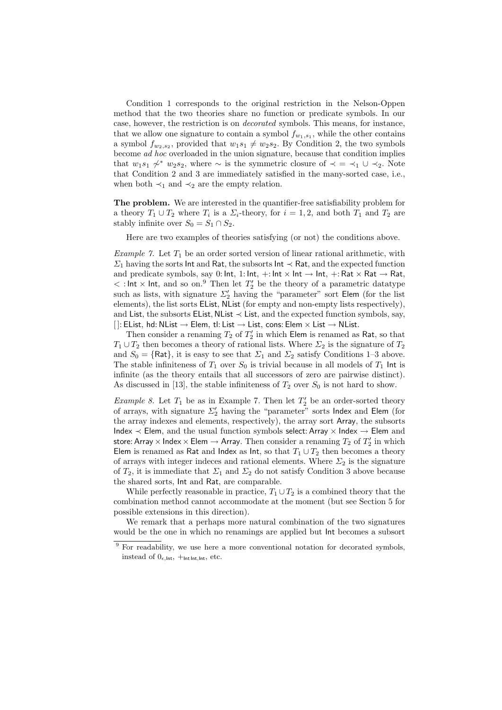Condition 1 corresponds to the original restriction in the Nelson-Oppen method that the two theories share no function or predicate symbols. In our case, however, the restriction is on decorated symbols. This means, for instance, that we allow one signature to contain a symbol  $f_{w_1, s_1}$ , while the other contains a symbol  $f_{w_2,s_2}$ , provided that  $w_1s_1 \neq w_2s_2$ . By Condition 2, the two symbols become ad hoc overloaded in the union signature, because that condition implies that  $w_1s_1 \nless^* w_2s_2$ , where  $\sim$  is the symmetric closure of  $\prec$  =  $\prec_1 \cup \prec_2$ . Note that Condition 2 and 3 are immediately satisfied in the many-sorted case, i.e., when both  $\prec_1$  and  $\prec_2$  are the empty relation.

The problem. We are interested in the quantifier-free satisfiability problem for a theory  $T_1 \cup T_2$  where  $T_i$  is a  $\Sigma_i$ -theory, for  $i = 1, 2$ , and both  $T_1$  and  $T_2$  are stably infinite over  $S_0 = S_1 \cap S_2$ .

Here are two examples of theories satisfying (or not) the conditions above.

Example 7. Let  $T_1$  be an order sorted version of linear rational arithmetic, with  $\Sigma_1$  having the sorts Int and Rat, the subsorts Int  $\prec$  Rat, and the expected function and predicate symbols, say 0: Int, 1: Int,  $+:$  Int  $\times$  Int  $\rightarrow$  Int,  $+:$  Rat  $\times$  Rat  $\rightarrow$  Rat,  $\langle \cdot |$  lnt  $\times$  lnt, and so on.<sup>9</sup> Then let  $T_2'$  be the theory of a parametric datatype such as lists, with signature  $\Sigma_2'$  having the "parameter" sort Elem (for the list elements), the list sorts EList, NList (for empty and non-empty lists respectively), and List, the subsorts EList, NList  $\prec$  List, and the expected function symbols, say,  $[ ]:$  EList, hd: NList  $\rightarrow$  Elem, tl: List  $\rightarrow$  List, cons: Elem  $\times$  List  $\rightarrow$  NList.

Then consider a renaming  $T_2$  of  $T_2'$  in which Elem is renamed as Rat, so that  $T_1 \cup T_2$  then becomes a theory of rational lists. Where  $\Sigma_2$  is the signature of  $T_2$ and  $S_0 = \{ \text{Rat} \}$ , it is easy to see that  $\Sigma_1$  and  $\Sigma_2$  satisfy Conditions 1–3 above. The stable infiniteness of  $T_1$  over  $S_0$  is trivial because in all models of  $T_1$  lnt is infinite (as the theory entails that all successors of zero are pairwise distinct). As discussed in [13], the stable infiniteness of  $T_2$  over  $S_0$  is not hard to show.

*Example 8.* Let  $T_1$  be as in Example 7. Then let  $T_2'$  be an order-sorted theory of arrays, with signature  $\Sigma_2'$  having the "parameter" sorts Index and Elem (for the array indexes and elements, respectively), the array sort Array, the subsorts Index  $\prec$  Elem, and the usual function symbols select: Array  $\times$  Index  $\rightarrow$  Elem and store: Array  $\times$  Index  $\times$  Elem  $\rightarrow$  Array. Then consider a renaming  $T_2$  of  $T_2'$  in which Elem is renamed as Rat and Index as Int, so that  $T_1 \cup T_2$  then becomes a theory of arrays with integer indeces and rational elements. Where  $\Sigma_2$  is the signature of  $T_2$ , it is immediate that  $\Sigma_1$  and  $\Sigma_2$  do not satisfy Condition 3 above because the shared sorts, Int and Rat, are comparable.

While perfectly reasonable in practice,  $T_1 \cup T_2$  is a combined theory that the combination method cannot accommodate at the moment (but see Section 5 for possible extensions in this direction).

We remark that a perhaps more natural combination of the two signatures would be the one in which no renamings are applied but Int becomes a subsort

<sup>&</sup>lt;sup>9</sup> For readability, we use here a more conventional notation for decorated symbols, instead of  $0_{\epsilon, \text{Int}}$ ,  $+_{\text{Int Int,Int}}$ , etc.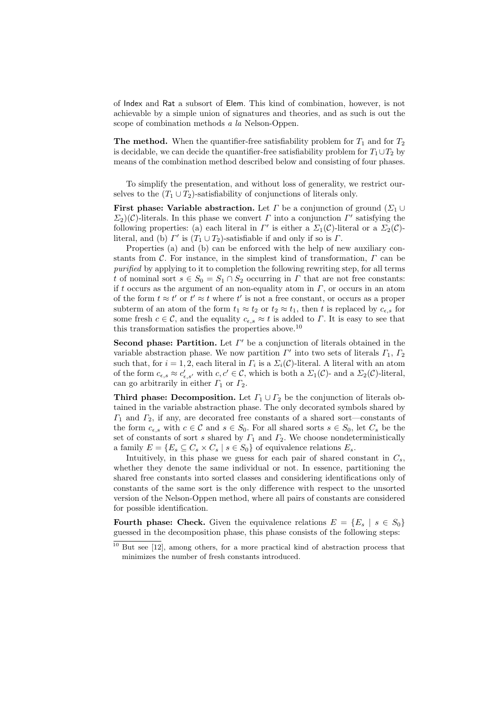of Index and Rat a subsort of Elem. This kind of combination, however, is not achievable by a simple union of signatures and theories, and as such is out the scope of combination methods a la Nelson-Oppen.

The method. When the quantifier-free satisfiability problem for  $T_1$  and for  $T_2$ is decidable, we can decide the quantifier-free satisfiability problem for  $T_1 \cup T_2$  by means of the combination method described below and consisting of four phases.

To simplify the presentation, and without loss of generality, we restrict ourselves to the  $(T_1 \cup T_2)$ -satisfiability of conjunctions of literals only.

**First phase: Variable abstraction.** Let  $\Gamma$  be a conjunction of ground  $(\Sigma_1 \cup$  $\Sigma_2(\mathcal{C})$ -literals. In this phase we convert  $\Gamma$  into a conjunction  $\Gamma'$  satisfying the following properties: (a) each literal in  $\Gamma'$  is either a  $\Sigma_1(\mathcal{C})$ -literal or a  $\Sigma_2(\mathcal{C})$ literal, and (b)  $\Gamma'$  is  $(T_1 \cup T_2)$ -satisfiable if and only if so is  $\Gamma$ .

Properties (a) and (b) can be enforced with the help of new auxiliary constants from  $\mathcal C$ . For instance, in the simplest kind of transformation,  $\Gamma$  can be purified by applying to it to completion the following rewriting step, for all terms t of nominal sort  $s \in S_0 = S_1 \cap S_2$  occurring in  $\Gamma$  that are not free constants: if t occurs as the argument of an non-equality atom in  $\Gamma$ , or occurs in an atom of the form  $t \approx t'$  or  $t' \approx t$  where  $t'$  is not a free constant, or occurs as a proper subterm of an atom of the form  $t_1 \approx t_2$  or  $t_2 \approx t_1$ , then t is replaced by  $c_{\epsilon,s}$  for some fresh  $c \in \mathcal{C}$ , and the equality  $c_{\epsilon,s} \approx t$  is added to  $\Gamma$ . It is easy to see that this transformation satisfies the properties above.<sup>10</sup>

**Second phase: Partition.** Let  $\Gamma'$  be a conjunction of literals obtained in the variable abstraction phase. We now partition  $\Gamma'$  into two sets of literals  $\Gamma_1$ ,  $\Gamma_2$ such that, for  $i = 1, 2$ , each literal in  $\Gamma_i$  is a  $\Sigma_i(\mathcal{C})$ -literal. A literal with an atom of the form  $c_{\epsilon,s} \approx c'_{\epsilon,s'}$  with  $c,c' \in \mathcal{C}$ , which is both a  $\Sigma_1(\mathcal{C})$ - and a  $\Sigma_2(\mathcal{C})$ -literal, can go arbitrarily in either  $\Gamma_1$  or  $\Gamma_2$ .

Third phase: Decomposition. Let  $\Gamma_1 \cup \Gamma_2$  be the conjunction of literals obtained in the variable abstraction phase. The only decorated symbols shared by  $\Gamma_1$  and  $\Gamma_2$ , if any, are decorated free constants of a shared sort—constants of the form  $c_{\epsilon,s}$  with  $c \in \mathcal{C}$  and  $s \in S_0$ . For all shared sorts  $s \in S_0$ , let  $C_s$  be the set of constants of sort s shared by  $\Gamma_1$  and  $\Gamma_2$ . We choose nondeterministically a family  $E = \{E_s \subseteq C_s \times C_s \mid s \in S_0\}$  of equivalence relations  $E_s$ .

Intuitively, in this phase we guess for each pair of shared constant in  $C_s$ , whether they denote the same individual or not. In essence, partitioning the shared free constants into sorted classes and considering identifications only of constants of the same sort is the only difference with respect to the unsorted version of the Nelson-Oppen method, where all pairs of constants are considered for possible identification.

**Fourth phase: Check.** Given the equivalence relations  $E = \{E_s \mid s \in S_0\}$ guessed in the decomposition phase, this phase consists of the following steps:

<sup>10</sup> But see [12], among others, for a more practical kind of abstraction process that minimizes the number of fresh constants introduced.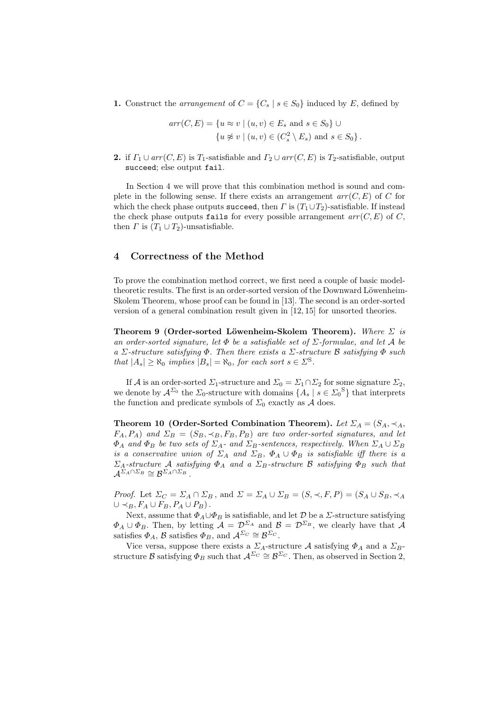1. Construct the arrangement of  $C = \{C_s \mid s \in S_0\}$  induced by E, defined by

$$
arr(C, E) = \{ u \approx v \mid (u, v) \in E_s \text{ and } s \in S_0 \} \cup
$$
  

$$
\{ u \not\approx v \mid (u, v) \in (C_s^2 \setminus E_s) \text{ and } s \in S_0 \}.
$$

2. if  $\Gamma_1 \cup arr(C, E)$  is  $T_1$ -satisfiable and  $\Gamma_2 \cup arr(C, E)$  is  $T_2$ -satisfiable, output succeed; else output fail.

In Section 4 we will prove that this combination method is sound and complete in the following sense. If there exists an arrangement  $arr(C, E)$  of C for which the check phase outputs succeed, then  $\Gamma$  is  $(T_1 \cup T_2)$ -satisfiable. If instead the check phase outputs fails for every possible arrangement  $arr(C, E)$  of C, then  $\Gamma$  is  $(T_1 \cup T_2)$ -unsatisfiable.

#### 4 Correctness of the Method

To prove the combination method correct, we first need a couple of basic modeltheoretic results. The first is an order-sorted version of the Downward Löwenheim-Skolem Theorem, whose proof can be found in [13]. The second is an order-sorted version of a general combination result given in [12, 15] for unsorted theories.

Theorem 9 (Order-sorted Löwenheim-Skolem Theorem). Where  $\Sigma$  is an order-sorted signature, let  $\Phi$  be a satisfiable set of  $\Sigma$ -formulae, and let A be a Σ-structure satisfying  $\Phi$ . Then there exists a Σ-structure B satisfying  $\Phi$  such that  $|A_s| \geq \aleph_0$  implies  $|B_s| = \aleph_0$ , for each sort  $s \in \Sigma^S$ .

If A is an order-sorted  $\Sigma_1$ -structure and  $\Sigma_0 = \Sigma_1 \cap \Sigma_2$  for some signature  $\Sigma_2$ , we denote by  $\mathcal{A}^{\Sigma_0}$  the  $\Sigma_0$ -structure with domains  $\{A_s \mid s \in \Sigma_0^{\{S\}}\}$  that interprets the function and predicate symbols of  $\Sigma_0$  exactly as A does.

Theorem 10 (Order-Sorted Combination Theorem). Let Σ<sup>A</sup> = (SA, ≺A,  $F_A, P_A$ ) and  $\Sigma_B = (S_B, \prec_B, F_B, P_B)$  are two order-sorted signatures, and let  $\Phi_A$  and  $\Phi_B$  be two sets of  $\Sigma_A$ - and  $\Sigma_B$ -sentences, respectively. When  $\Sigma_A \cup \Sigma_B$ is a conservative union of  $\Sigma_A$  and  $\Sigma_B$ ,  $\Phi_A \cup \Phi_B$  is satisfiable iff there is a  $\Sigma_A$ -structure A satisfying  $\Phi_A$  and a  $\Sigma_B$ -structure B satisfying  $\Phi_B$  such that  $\mathcal{A}^{\Sigma_A \cap \Sigma_B} \cong \mathcal{B}^{\Sigma_A \cap \Sigma_B}$  .

*Proof.* Let  $\Sigma_C = \Sigma_A \cap \Sigma_B$ , and  $\Sigma = \Sigma_A \cup \Sigma_B = (S, \prec, F, P) = (S_A \cup S_B, \prec_A F)$  $\cup \prec_B, F_A \cup F_B, P_A \cup P_B$ .

Next, assume that  $\Phi_A \cup \Phi_B$  is satisfiable, and let  $D$  be a  $\Sigma$ -structure satisfying  $\Phi_A \cup \Phi_B$ . Then, by letting  $\mathcal{A} = \mathcal{D}^{\Sigma_A}$  and  $\mathcal{B} = \mathcal{D}^{\Sigma_B}$ , we clearly have that  $\mathcal{A}$ satisfies  $\Phi_A$ , B satisfies  $\Phi_B$ , and  $\mathcal{A}^{\Sigma_C} \cong \mathcal{B}^{\Sigma_C}$ .

Vice versa, suppose there exists a  $\Sigma_A$ -structure A satisfying  $\Phi_A$  and a  $\Sigma_B$ structure B satisfying  $\Phi_B$  such that  $\mathcal{A}^{\Sigma_C} \cong \mathcal{B}^{\Sigma_C}$ . Then, as observed in Section 2,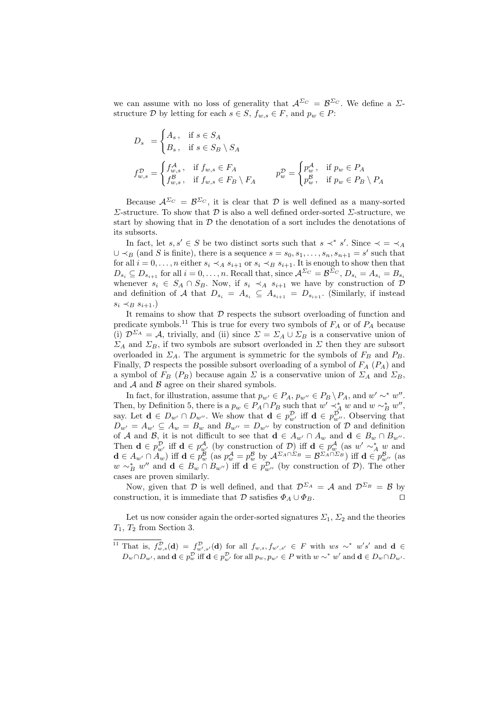we can assume with no loss of generality that  $\mathcal{A}^{\Sigma_C} = \mathcal{B}^{\Sigma_C}$ . We define a  $\Sigma$ structure D by letting for each  $s \in S$ ,  $f_{w,s} \in F$ , and  $p_w \in P$ :

$$
D_s = \begin{cases} A_s, & \text{if } s \in S_A \\ B_s, & \text{if } s \in S_B \setminus S_A \end{cases}
$$
  

$$
f_{w,s}^{\mathcal{D}} = \begin{cases} f_{w,s}^{\mathcal{A}}, & \text{if } f_{w,s} \in F_A \\ f_{w,s}^{\mathcal{B}}, & \text{if } f_{w,s} \in F_B \setminus F_A \end{cases}
$$
  

$$
p_w^{\mathcal{D}} = \begin{cases} p_w^{\mathcal{A}}, & \text{if } p_w \in P_A \\ p_w^{\mathcal{B}}, & \text{if } p_w \in P_B \setminus P_A \end{cases}
$$

Because  $A^{\Sigma_C} = \mathcal{B}^{\Sigma_C}$ , it is clear that  $\mathcal D$  is well defined as a many-sorted Σ-structure. To show that  $D$  is also a well defined order-sorted Σ-structure, we start by showing that in  $\mathcal D$  the denotation of a sort includes the denotations of its subsorts.

In fact, let  $s, s' \in S$  be two distinct sorts such that  $s \prec^* s'$ . Since  $\prec = \prec_A$  $\cup \prec_B (\text{and } S \text{ is finite}), \text{ there is a sequence } s = s_0, s_1, \ldots, s_n, s_{n+1} = s' \text{ such that }$ for all  $i = 0, \ldots, n$  either  $s_i \prec_A s_{i+1}$  or  $s_i \prec_B s_{i+1}$ . It is enough to show then that  $D_{s_i} \subseteq D_{s_{i+1}}$  for all  $i = 0, \ldots, n$ . Recall that, since  $\mathcal{A}^{\Sigma_C} = \mathcal{B}^{\Sigma_C}$ ,  $D_{s_i} = A_{s_i} = B_{s_i}$ whenever  $s_i \in S_A \cap S_B$ . Now, if  $s_i \prec_A s_{i+1}$  we have by construction of  $D$ and definition of A that  $D_{s_i} = A_{s_i} \subseteq A_{s_{i+1}} = D_{s_{i+1}}$ . (Similarly, if instead  $s_i \prec_B s_{i+1}$ .

It remains to show that  $D$  respects the subsort overloading of function and predicate symbols.<sup>11</sup> This is true for every two symbols of  $F_A$  or of  $P_A$  because (i)  $\mathcal{D}^{\Sigma_A} = \mathcal{A}$ , trivially, and (ii) since  $\Sigma = \Sigma_A \cup \Sigma_B$  is a conservative union of  $\Sigma_A$  and  $\Sigma_B$ , if two symbols are subsort overloaded in  $\Sigma$  then they are subsort overloaded in  $\Sigma_A$ . The argument is symmetric for the symbols of  $F_B$  and  $P_B$ . Finally,  $D$  respects the possible subsort overloading of a symbol of  $F_A$  ( $P_A$ ) and a symbol of  $F_B$  ( $P_B$ ) because again  $\Sigma$  is a conservative union of  $\Sigma_A$  and  $\Sigma_B$ , and  $A$  and  $B$  agree on their shared symbols.

In fact, for illustration, assume that  $p_{w'} \in P_A$ ,  $p_{w''} \in P_B \backslash P_A$ , and  $w' \sim^* w''$ . Then, by Definition 5, there is a  $p_w \in P_A \cap P_B$  such that  $w' \prec_A^* w$  and  $w \sim_B^* w''$ , say. Let  $\mathbf{d} \in D_{w'} \cap D_{w''}$ . We show that  $\mathbf{d} \in p_{w'}^{\mathcal{D}}$  iff  $\mathbf{d} \in p_{w''}^{\mathcal{D}}$ . Observing that  $D_{w'} = A_{w'} \subseteq A_w = B_w$  and  $B_{w''} = D_{w''}$  by construction of  $D$  and definition of A and B, it is not difficult to see that  $\mathbf{d} \in A_{w'} \cap A_w$  and  $\mathbf{d} \in B_w \cap B_{w''}$ . Then  $\mathbf{d} \in p_{w'}^{\mathcal{D}}$  iff  $\mathbf{d} \in p_{w'}^{\mathcal{A}}$  (by construction of  $\mathcal{D}$ ) iff  $\mathbf{d} \in p_{w}^{\mathcal{A}}$  (as  $w' \sim_{A}^{*} w$  and  $\mathbf{d} \in A_{w'} \cap A_w$ ) iff  $\mathbf{d} \in p_w^{\mathcal{B}}$  (as  $p_w^{\mathcal{A}} = p_w^{\mathcal{B}}$  by  $\mathcal{A}^{\Sigma_A \cap \Sigma_B} = \mathcal{B}^{\Sigma_A \cap \Sigma_B}$ ) iff  $\mathbf{d} \in p_{w''}^{\mathcal{B}}$  (as  $w \sim_B^* w''$  and  $\mathbf{d} \in B_w \cap B_{w''}$  iff  $\mathbf{d} \in p_{w''}^{\mathcal{D}}$  (by construction of  $\mathcal{D}$ ). The other cases are proven similarly.

Now, given that D is well defined, and that  $\mathcal{D}^{\Sigma_A} = \mathcal{A}$  and  $\mathcal{D}^{\Sigma_B} = \mathcal{B}$  by construction, it is immediate that  $\mathcal D$  satisfies  $\Phi_A \cup \Phi_B$ .

Let us now consider again the order-sorted signatures  $\Sigma_1$ ,  $\Sigma_2$  and the theories  $T_1, T_2$  from Section 3.

<sup>&</sup>lt;sup>11</sup> That is,  $f_{w,s}^{\mathcal{D}}(\mathbf{d}) = f_{w',s'}^{\mathcal{D}}(\mathbf{d})$  for all  $f_{w,s}, f_{w',s'} \in F$  with  $ws \sim^* w's'$  and  $\mathbf{d} \in$  $D_w \cap D_{w'}$ , and  $\mathbf{d} \in p_w^{\mathcal{D}}$  iff  $\mathbf{d} \in p_{w'}^{\mathcal{D}}$  for all  $p_w, p_{w'} \in P$  with  $w \sim^* w'$  and  $\mathbf{d} \in D_w \cap D_{w'}$ .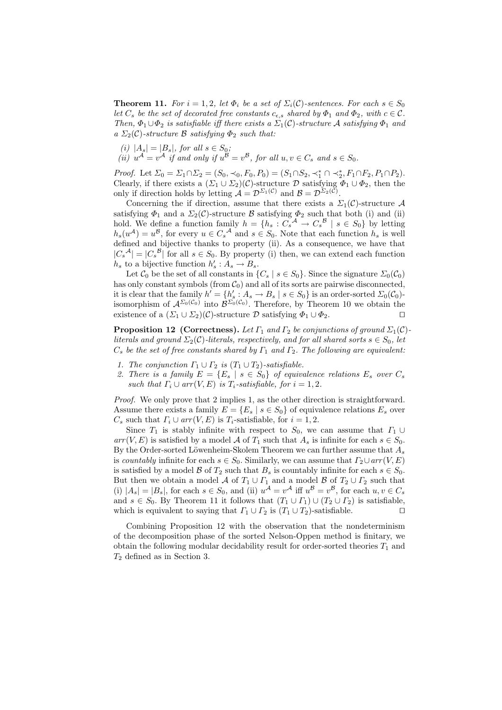**Theorem 11.** For  $i = 1, 2$ , let  $\Phi_i$  be a set of  $\Sigma_i(\mathcal{C})$ -sentences. For each  $s \in S_0$ let  $C_s$  be the set of decorated free constants  $c_{\epsilon,s}$  shared by  $\Phi_1$  and  $\Phi_2$ , with  $c \in \mathcal{C}$ . Then,  $\Phi_1 \cup \Phi_2$  is satisfiable iff there exists a  $\Sigma_1(\mathcal{C})$ -structure A satisfying  $\Phi_1$  and a  $\Sigma_2(\mathcal{C})$ -structure B satisfying  $\Phi_2$  such that:

(i)  $|A_s| = |B_s|$ , for all  $s \in S_0$ ;

(ii)  $u^{\mathcal{A}} = v^{\mathcal{A}}$  if and only if  $u^{\mathcal{B}} = v^{\mathcal{B}}$ , for all  $u, v \in C_s$  and  $s \in S_0$ .

Proof. Let  $\Sigma_0 = \Sigma_1 \cap \Sigma_2 = (S_0, \prec_0, F_0, P_0) = (S_1 \cap S_2, \prec_1^* \cap \prec_2^*, F_1 \cap F_2, P_1 \cap P_2).$ Clearly, if there exists a  $(\Sigma_1 \cup \Sigma_2)(\mathcal{C})$ -structure D satisfying  $\Phi_1 \cup \Phi_2$ , then the only if direction holds by letting  $A = \mathcal{D}^{\Sigma_1(\mathcal{C})}$  and  $\mathcal{B} = \mathcal{D}^{\Sigma_2(\mathcal{C})}$ .

Concerning the if direction, assume that there exists a  $\Sigma_1(\mathcal{C})$ -structure A satisfying  $\Phi_1$  and a  $\Sigma_2(\mathcal{C})$ -structure  $\mathcal B$  satisfying  $\Phi_2$  such that both (i) and (ii) hold. We define a function family  $h = \{h_s : C_s^{\mathcal{A}} \to C_s^{\mathcal{B}} \mid s \in S_0\}$  by letting  $h_s(u^{\mathcal{A}}) = u^{\mathcal{B}}$ , for every  $u \in C_s^{\mathcal{A}}$  and  $s \in S_0$ . Note that each function  $h_s$  is well defined and bijective thanks to property (ii). As a consequence, we have that  $|C_s^{\mathcal{A}}| = |C_s^{\mathcal{B}}|$  for all  $s \in S_0$ . By property (i) then, we can extend each function  $h_s$  to a bijective function  $h'_s: A_s \to B_s$ .

Let  $\mathcal{C}_0$  be the set of all constants in  $\{C_s \mid s \in S_0\}$ . Since the signature  $\Sigma_0(\mathcal{C}_0)$ has only constant symbols (from  $C_0$ ) and all of its sorts are pairwise disconnected, it is clear that the family  $h' = \{h'_s : A_s \to B_s \mid s \in S_0\}$  is an order-sorted  $\Sigma_0(\mathcal{C}_0)$ isomorphism of  $\mathcal{A}^{\Sigma_0(\mathcal{C}_0)}$  into  $\mathcal{B}^{\Sigma_0(\mathcal{C}_0)}$ . Therefore, by Theorem 10 we obtain the existence of a  $(\Sigma_1 \cup \Sigma_2)(\mathcal{C})$ -structure  $\mathcal D$  satisfying  $\Phi_1 \cup \Phi_2$ .

**Proposition 12 (Correctness).** Let  $\Gamma_1$  and  $\Gamma_2$  be conjunctions of ground  $\Sigma_1(\mathcal{C})$ literals and ground  $\Sigma_2(\mathcal{C})$ -literals, respectively, and for all shared sorts  $s \in S_0$ , let  $C_s$  be the set of free constants shared by  $\Gamma_1$  and  $\Gamma_2$ . The following are equivalent:

- 1. The conjunction  $\Gamma_1 \cup \Gamma_2$  is  $(T_1 \cup T_2)$ -satisfiable.
- 2. There is a family  $E = \{E_s \mid s \in S_0\}$  of equivalence relations  $E_s$  over  $C_s$ such that  $\Gamma_i \cup arr(V, E)$  is  $T_i$ -satisfiable, for  $i = 1, 2$ .

Proof. We only prove that 2 implies 1, as the other direction is straightforward. Assume there exists a family  $E = \{E_s \mid s \in S_0\}$  of equivalence relations  $E_s$  over  $C_s$  such that  $\Gamma_i \cup arr(V, E)$  is  $T_i$ -satisfiable, for  $i = 1, 2$ .

Since  $T_1$  is stably infinite with respect to  $S_0$ , we can assume that  $\Gamma_1 \cup$  $arr(V, E)$  is satisfied by a model A of  $T_1$  such that  $A_s$  is infinite for each  $s \in S_0$ . By the Order-sorted Löwenheim-Skolem Theorem we can further assume that  $A_s$ is countably infinite for each  $s \in S_0$ . Similarly, we can assume that  $\Gamma_2 \cup arr(V, E)$ is satisfied by a model B of  $T_2$  such that  $B_s$  is countably infinite for each  $s \in S_0$ . But then we obtain a model A of  $T_1 \cup T_1$  and a model B of  $T_2 \cup T_2$  such that (i)  $|A_s| = |B_s|$ , for each  $s \in S_0$ , and (ii)  $u^A = v^A$  iff  $u^B = v^B$ , for each  $u, v \in C_s$ and  $s \in S_0$ . By Theorem 11 it follows that  $(T_1 \cup T_1) \cup (T_2 \cup T_2)$  is satisfiable, which is equivalent to saying that  $\Gamma_1 \cup \Gamma_2$  is  $(T_1 \cup T_2)$ -satisfiable.

Combining Proposition 12 with the observation that the nondeterminism of the decomposition phase of the sorted Nelson-Oppen method is finitary, we obtain the following modular decidability result for order-sorted theories  $T_1$  and  $T_2$  defined as in Section 3.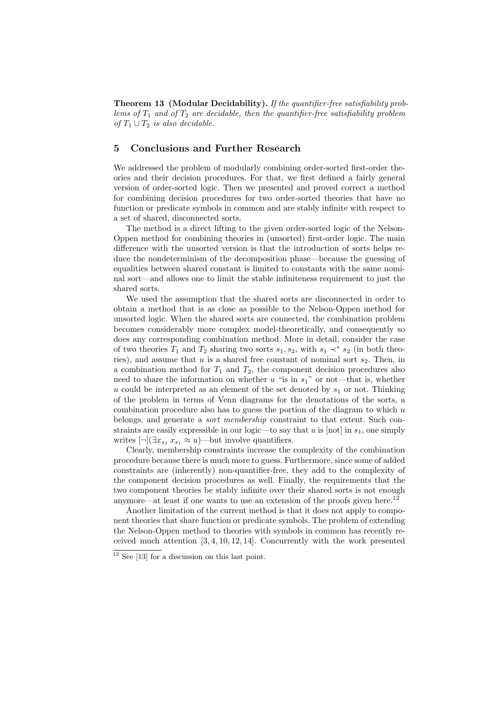Theorem 13 (Modular Decidability). If the quantifier-free satisfiability problems of  $T_1$  and of  $T_2$  are decidable, then the quantifier-free satisfiability problem of  $T_1 \cup T_2$  is also decidable.

#### 5 Conclusions and Further Research

We addressed the problem of modularly combining order-sorted first-order theories and their decision procedures. For that, we first defined a fairly general version of order-sorted logic. Then we presented and proved correct a method for combining decision procedures for two order-sorted theories that have no function or predicate symbols in common and are stably infinite with respect to a set of shared, disconnected sorts.

The method is a direct lifting to the given order-sorted logic of the Nelson-Oppen method for combining theories in (unsorted) first-order logic. The main difference with the unsorted version is that the introduction of sorts helps reduce the nondeterminism of the decomposition phase—because the guessing of equalities between shared constant is limited to constants with the same nominal sort—and allows one to limit the stable infiniteness requirement to just the shared sorts.

We used the assumption that the shared sorts are disconnected in order to obtain a method that is as close as possible to the Nelson-Oppen method for unsorted logic. When the shared sorts are connected, the combination problem becomes considerably more complex model-theoretically, and consequently so does any corresponding combination method. More in detail, consider the case of two theories  $T_1$  and  $T_2$  sharing two sorts  $s_1, s_2$ , with  $s_1 \prec^* s_2$  (in both theories), and assume that  $u$  is a shared free constant of nominal sort  $s_2$ . Then, in a combination method for  $T_1$  and  $T_2$ , the component decision procedures also need to share the information on whether  $u$  "is in  $s_1$ " or not—that is, whether u could be interpreted as an element of the set denoted by  $s_1$  or not. Thinking of the problem in terms of Venn diagrams for the denotations of the sorts, a combination procedure also has to guess the portion of the diagram to which  $u$ belongs, and generate a sort membership constraint to that extent. Such constraints are easily expressible in our logic—to say that u is [not] in  $s<sub>1</sub>$ , one simply writes  $\lbrack\neg](\exists x_{s_1}\ x_{s_1} \approx u)$ —but involve quantifiers.

Clearly, membership constraints increase the complexity of the combination procedure because there is much more to guess. Furthermore, since some of added constraints are (inherently) non-quantifier-free, they add to the complexity of the component decision procedures as well. Finally, the requirements that the two component theories be stably infinite over their shared sorts is not enough anymore—at least if one wants to use an extension of the proofs given here.<sup>12</sup>

Another limitation of the current method is that it does not apply to component theories that share function or predicate symbols. The problem of extending the Nelson-Oppen method to theories with symbols in common has recently received much attention [3, 4, 10, 12, 14]. Concurrently with the work presented

 $12$  See [13] for a discussion on this last point.